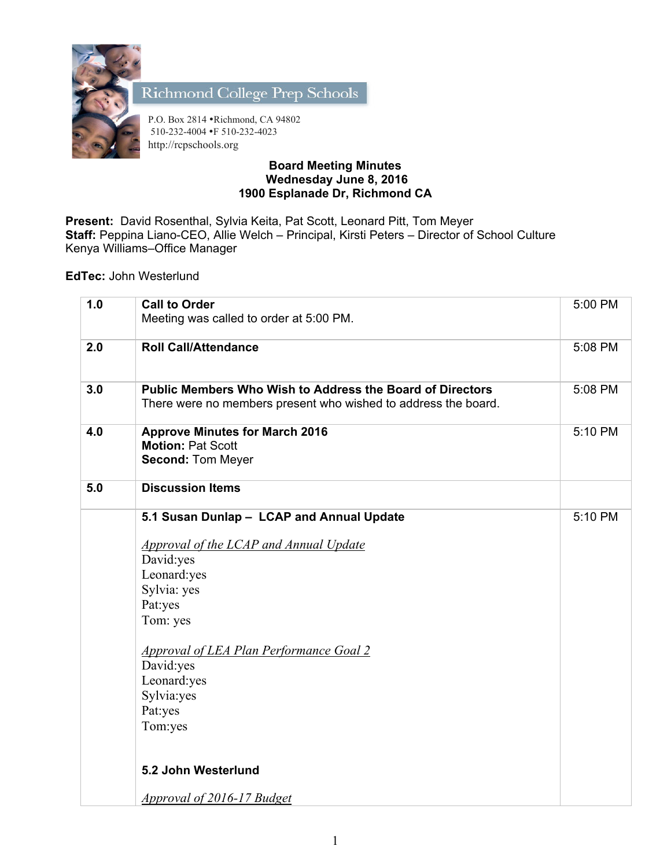

Richmond College Prep Schools

P.O. Box 2814 •Richmond, CA 94802 510-232-4004 •F 510-232-4023 http://rcpschools.org

## **Board Meeting Minutes Wednesday June 8, 2016 1900 Esplanade Dr, Richmond CA**

**Present:** David Rosenthal, Sylvia Keita, Pat Scott, Leonard Pitt, Tom Meyer **Staff:** Peppina Liano-CEO, Allie Welch – Principal, Kirsti Peters – Director of School Culture Kenya Williams–Office Manager

**EdTec:** John Westerlund

| 1.0 | <b>Call to Order</b><br>Meeting was called to order at 5:00 PM.                                                                                                                                                                                                         | 5:00 PM |
|-----|-------------------------------------------------------------------------------------------------------------------------------------------------------------------------------------------------------------------------------------------------------------------------|---------|
| 2.0 | <b>Roll Call/Attendance</b>                                                                                                                                                                                                                                             | 5:08 PM |
| 3.0 | <b>Public Members Who Wish to Address the Board of Directors</b><br>There were no members present who wished to address the board.                                                                                                                                      | 5:08 PM |
| 4.0 | <b>Approve Minutes for March 2016</b><br><b>Motion: Pat Scott</b><br><b>Second: Tom Meyer</b>                                                                                                                                                                           | 5:10 PM |
| 5.0 | <b>Discussion Items</b>                                                                                                                                                                                                                                                 |         |
|     | 5.1 Susan Dunlap - LCAP and Annual Update<br>Approval of the LCAP and Annual Update<br>David:yes<br>Leonard:yes<br>Sylvia: yes<br>Pat:yes<br>Tom: yes<br><b>Approval of LEA Plan Performance Goal 2</b><br>David:yes<br>Leonard:yes<br>Sylvia:yes<br>Pat:yes<br>Tom:yes | 5:10 PM |
|     | 5.2 John Westerlund                                                                                                                                                                                                                                                     |         |
|     | <u>Approval of 2016-17 Budget</u>                                                                                                                                                                                                                                       |         |